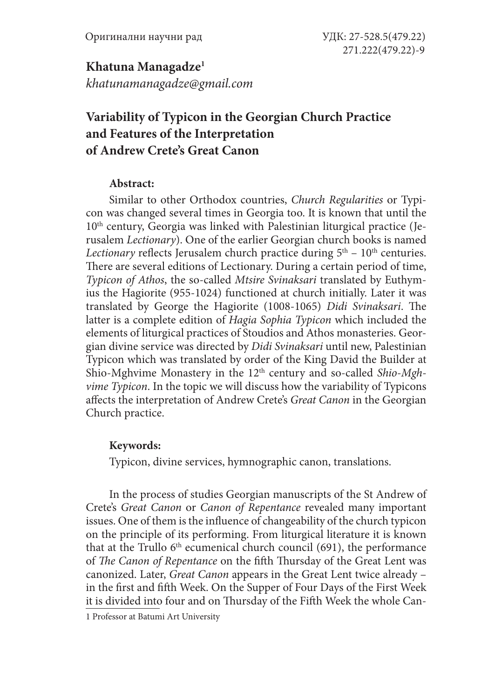**Khatuna Managadze1** *khatunamanagadze@gmail.com*

# **Variability of Typicon in the Georgian Church Practice and Features of the Interpretation of Andrew Crete's Great Canon**

## **Abstract:**

Similar to other Orthodox countries, *Church Regularities* or Typicon was changed several times in Georgia too. It is known that until the  $10<sup>th</sup>$  century, Georgia was linked with Palestinian liturgical practice (Jerusalem *Lectionary*). One of the earlier Georgian church books is named *Lectionary* reflects Jerusalem church practice during  $5<sup>th</sup> - 10<sup>th</sup>$  centuries. There are several editions of Lectionary. During a certain period of time, *Typicon of Athos*, the so-called *Mtsire Svinaksari* translated by Euthymius the Hagiorite (955-1024) functioned at church initially. Later it was translated by George the Hagiorite (1008-1065) *Didi Svinaksari*. The latter is a complete edition of *Hagia Sophia Typicon* which included the elements of liturgical practices of Stoudios and Athos monasteries. Georgian divine service was directed by *Didi Svinaksari* until new, Palestinian Typicon which was translated by order of the King David the Builder at Shio-Mghvime Monastery in the 12<sup>th</sup> century and so-called *Shio-Mghvime Typicon*. In the topic we will discuss how the variability of Typicons affects the interpretation of Andrew Crete's *Great Canon* in the Georgian Church practice.

# **Keywords:**

Typicon, divine services, hymnographic canon, translations.

In the process of studies Georgian manuscripts of the St Andrew of Crete's *Great Canon* or *Canon of Repentance* revealed many important issues. One of them is the influence of changeability of the church typicon on the principle of its performing. From liturgical literature it is known that at the Trullo  $6<sup>th</sup>$  ecumenical church council (691), the performance of *The Canon of Repentance* on the fifth Thursday of the Great Lent was canonized. Later, *Great Canon* appears in the Great Lent twice already – in the first and fifth Week. On the Supper of Four Days of the First Week it is divided into four and on Thursday of the Fifth Week the whole Can-

1 Professor at Batumi Art University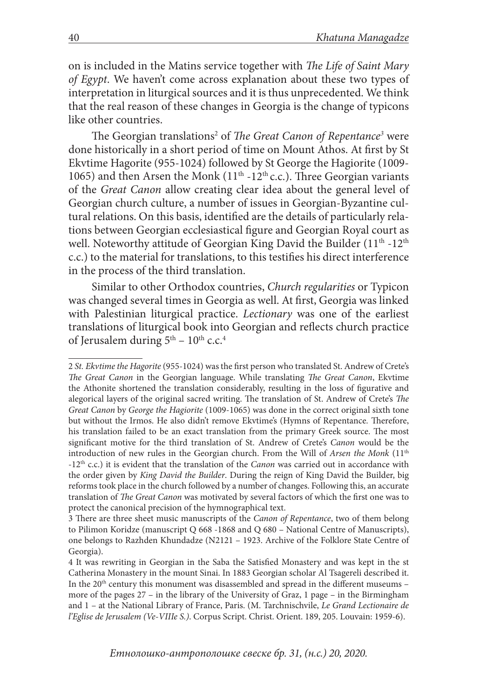on is included in the Matins service together with *The Life of Saint Mary of Egypt*. We haven't come across explanation about these two types of interpretation in liturgical sources and it is thus unprecedented. We think that the real reason of these changes in Georgia is the change of typicons like other countries.

The Georgian translations<sup>2</sup> of *The Great Canon of Repentance<sup>3</sup>* were done historically in a short period of time on Mount Athos. At first by St Ekvtime Hagorite (955-1024) followed by St George the Hagiorite (1009- 1065) and then Arsen the Monk ( $11<sup>th</sup> - 12<sup>th</sup>$  c.c.). Three Georgian variants of the *Great Canon* allow creating clear idea about the general level of Georgian church culture, a number of issues in Georgian-Byzantine cultural relations. On this basis, identified are the details of particularly relations between Georgian ecclesiastical figure and Georgian Royal court as well. Noteworthy attitude of Georgian King David the Builder (11<sup>th</sup> -12<sup>th</sup>) c.c.) to the material for translations, to this testifies his direct interference in the process of the third translation.

Similar to other Orthodox countries, *Church regularities* or Typicon was changed several times in Georgia as well. At first, Georgia was linked with Palestinian liturgical practice. *Lectionary* was one of the earliest translations of liturgical book into Georgian and reflects church practice of Jerusalem during  $5<sup>th</sup> - 10<sup>th</sup>$  c.c.<sup>4</sup>

<sup>2</sup> *St. Ekvtime the Hagorite* (955-1024) was the first person who translated St. Andrew of Crete's *The Great Canon* in the Georgian language. While translating *The Great Canon*, Ekvtime the Athonite shortened the translation considerably, resulting in the loss of figurative and alegorical layers of the original sacred writing. The translation of St. Andrew of Crete's *The Great Canon* by *George the Hagiorite* (1009-1065) was done in the correct original sixth tone but without the Irmos. He also didn't remove Ekvtime's (Hymns of Repentance*.* Therefore, his translation failed to be an exact translation from the primary Greek source. The most significant motive for the third translation of St. Andrew of Crete's *Canon* would be the introduction of new rules in the Georgian church. From the Will of *Arsen the Monk* (11<sup>th</sup> -12th c.c.) it is evident that the translation of the *Canon* was carried out in accordance with the order given by *King David the Builder*. During the reign of King David the Builder, big reforms took place in the church followed by a number of changes. Following this, an accurate translation of *The Great Canon* was motivated by several factors of which the first one was to protect the canonical precision of the hymnographical text.

<sup>3</sup> There are three sheet music manuscripts of the *Canon of Repentance*, two of them belong to Pilimon Koridze (manuscript Q 668 -1868 and Q 680 – National Centre of Manuscripts), one belongs to Razhden Khundadze (N2121 – 1923. Archive of the Folklore State Centre of Georgia).

<sup>4</sup> It was rewriting in Georgian in the Saba the Satisfied Monastery and was kept in the st Catherina Monastery in the mount Sinai. In 1883 Georgian scholar Al Tsagereli described it. In the  $20<sup>th</sup>$  century this monument was disassembled and spread in the different museums – more of the pages 27 – in the library of the University of Graz, 1 page – in the Birmingham and 1 – at the National Library of France, Paris. (M. Tarchnischvile, *Le Grand Lectionaire de l'Eglise de Jerusalem (Ve-VIIIe S.)*. Corpus Script. Christ. Orient. 189, 205. Louvain: 1959-6).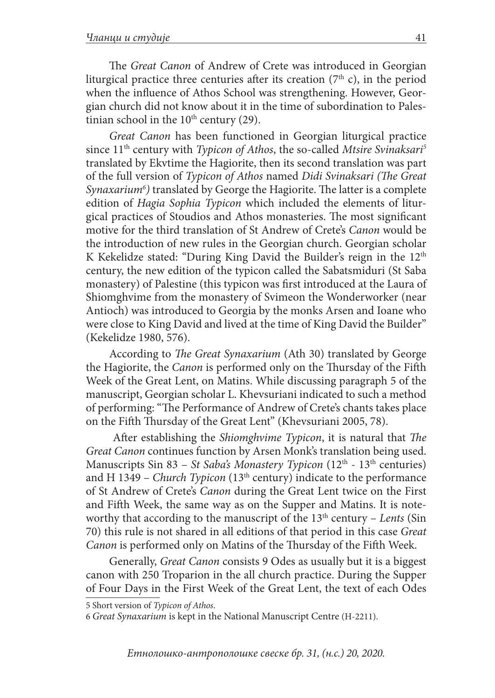The *Great Canon* of Andrew of Crete was introduced in Georgian liturgical practice three centuries after its creation  $(7<sup>th</sup> c)$ , in the period when the influence of Athos School was strengthening. However, Georgian church did not know about it in the time of subordination to Palestinian school in the  $10<sup>th</sup>$  century (29).

*Great Canon* has been functioned in Georgian liturgical practice since 11th century with *Typicon of Athos*, the so-called *Mtsire Svinaksari5* translated by Ekvtime the Hagiorite, then its second translation was part of the full version of *Typicon of Athos* named *Didi Svinaksari (The Great Synaxarium6 )* translated by George the Hagiorite. The latter is a complete edition of *Hagia Sophia Typicon* which included the elements of liturgical practices of Stoudios and Athos monasteries. The most significant motive for the third translation of St Andrew of Crete's *Canon* would be the introduction of new rules in the Georgian church. Georgian scholar K Kekelidze stated: "During King David the Builder's reign in the 12<sup>th</sup> century, the new edition of the typicon called the Sabatsmiduri (St Saba monastery) of Palestine (this typicon was first introduced at the Laura of Shiomghvime from the monastery of Svimeon the Wonderworker (near Antioch) was introduced to Georgia by the monks Arsen and Ioane who were close to King David and lived at the time of King David the Builder" (Kekelidze 1980, 576).

According to *The Great Synaxarium* (Ath 30) translated by George the Hagiorite, the *Canon* is performed only on the Thursday of the Fifth Week of the Great Lent, on Matins. While discussing paragraph 5 of the manuscript, Georgian scholar L. Khevsuriani indicated to such a method of performing: "The Performance of Andrew of Crete's chants takes place on the Fifth Thursday of the Great Lent" (Khevsuriani 2005, 78).

 After establishing the *Shiomghvime Typicon*, it is natural that *The Great Canon* continues function by Arsen Monk's translation being used. Manuscripts Sin 83 – *St Saba's Monastery Typicon* (12<sup>th</sup> - 13<sup>th</sup> centuries) and H 1349 – *Church Typicon* (13<sup>th</sup> century) indicate to the performance of St Andrew of Crete's *Canon* during the Great Lent twice on the First and Fifth Week, the same way as on the Supper and Matins. It is noteworthy that according to the manuscript of the 13th century – *Lents* (Sin 70) this rule is not shared in all editions of that period in this case *Great Canon* is performed only on Matins of the Thursday of the Fifth Week.

Generally, *Great Canon* consists 9 Odes as usually but it is a biggest canon with 250 Troparion in the all church practice. During the Supper of Four Days in the First Week of the Great Lent, the text of each Odes

5 Short version of *Typicon of Athos*.

<sup>6</sup> *Great Synaxarium* is kept in the National Manuscript Centre (H-2211).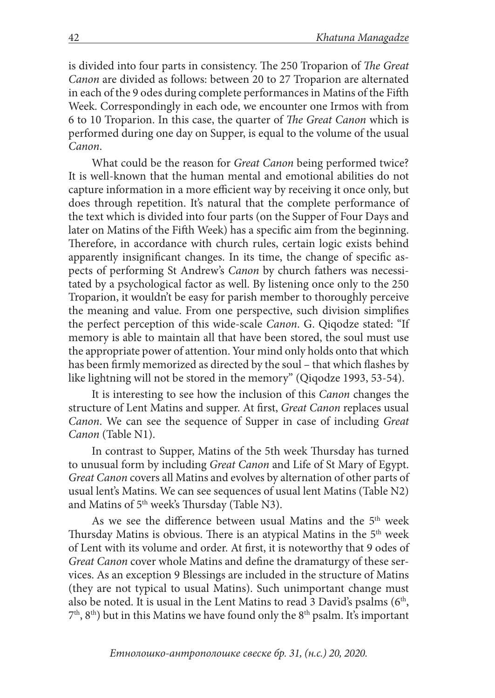is divided into four parts in consistency. The 250 Troparion of *The Great Canon* are divided as follows: between 20 to 27 Troparion are alternated in each of the 9 odes during complete performances in Matins of the Fifth Week. Correspondingly in each ode, we encounter one Irmos with from 6 to 10 Troparion. In this case, the quarter of *The Great Canon* which is performed during one day on Supper, is equal to the volume of the usual *Canon*.

What could be the reason for *Great Canon* being performed twice? It is well-known that the human mental and emotional abilities do not capture information in a more efficient way by receiving it once only, but does through repetition. It's natural that the complete performance of the text which is divided into four parts (on the Supper of Four Days and later on Matins of the Fifth Week) has a specific aim from the beginning. Therefore, in accordance with church rules, certain logic exists behind apparently insignificant changes. In its time, the change of specific aspects of performing St Andrew's *Canon* by church fathers was necessitated by a psychological factor as well. By listening once only to the 250 Troparion, it wouldn't be easy for parish member to thoroughly perceive the meaning and value. From one perspective, such division simplifies the perfect perception of this wide-scale *Canon*. G. Qiqodze stated: "If memory is able to maintain all that have been stored, the soul must use the appropriate power of attention. Your mind only holds onto that which has been firmly memorized as directed by the soul – that which flashes by like lightning will not be stored in the memory" (Qiqodze 1993, 53-54).

It is interesting to see how the inclusion of this *Canon* changes the structure of Lent Matins and supper. At first, *Great Canon* replaces usual *Canon*. We can see the sequence of Supper in case of including *Great Canon* (Table N1).

In contrast to Supper, Matins of the 5th week Thursday has turned to unusual form by including *Great Canon* and Life of St Mary of Egypt. *Great Canon* covers all Matins and evolves by alternation of other parts of usual lent's Matins. We can see sequences of usual lent Matins (Table N2) and Matins of 5<sup>th</sup> week's Thursday (Table N3).

As we see the difference between usual Matins and the 5<sup>th</sup> week Thursday Matins is obvious. There is an atypical Matins in the 5<sup>th</sup> week of Lent with its volume and order. At first, it is noteworthy that 9 odes of *Great Canon* cover whole Matins and define the dramaturgy of these services. As an exception 9 Blessings are included in the structure of Matins (they are not typical to usual Matins). Such unimportant change must also be noted. It is usual in the Lent Matins to read 3 David's psalms  $(6<sup>th</sup>,$  $(7<sup>th</sup>, 8<sup>th</sup>)$  but in this Matins we have found only the  $8<sup>th</sup>$  psalm. It's important

*Етнолошко-антрополошке свеске бр. 31, (н.с.) 20, 2020.*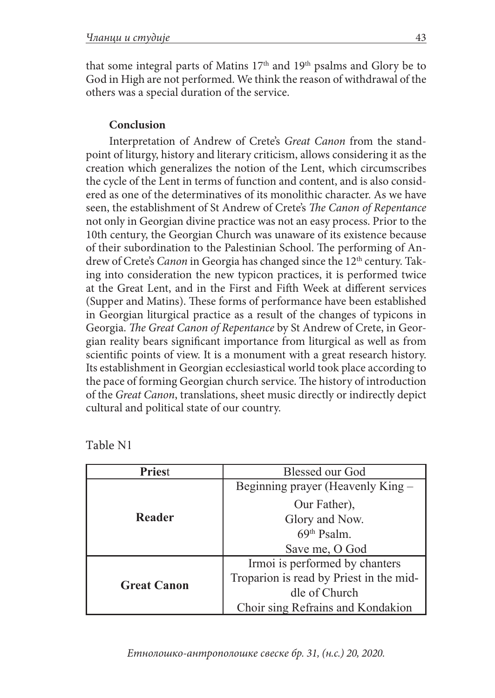that some integral parts of Matins 17<sup>th</sup> and 19<sup>th</sup> psalms and Glory be to God in High are not performed. We think the reason of withdrawal of the others was a special duration of the service.

## **Conclusion**

Interpretation of Andrew of Crete's *Great Canon* from the standpoint of liturgy, history and literary criticism, allows considering it as the creation which generalizes the notion of the Lent, which circumscribes the cycle of the Lent in terms of function and content, and is also considered as one of the determinatives of its monolithic character. As we have seen, the establishment of St Andrew of Crete's *The Canon of Repentance* not only in Georgian divine practice was not an easy process. Prior to the 10th century, the Georgian Church was unaware of its existence because of their subordination to the Palestinian School. The performing of Andrew of Crete's *Canon* in Georgia has changed since the 12<sup>th</sup> century. Taking into consideration the new typicon practices, it is performed twice at the Great Lent, and in the First and Fifth Week at different services (Supper and Matins). These forms of performance have been established in Georgian liturgical practice as a result of the changes of typicons in Georgia. *The Great Canon of Repentance* by St Andrew of Crete, in Georgian reality bears significant importance from liturgical as well as from scientific points of view. It is a monument with a great research history. Its establishment in Georgian ecclesiastical world took place according to the pace of forming Georgian church service. The history of introduction of the *Great Canon*, translations, sheet music directly or indirectly depict cultural and political state of our country.

| n.<br>⌒<br>. . |  |
|----------------|--|
|----------------|--|

| <b>Priest</b>      | <b>Blessed our God</b>                  |
|--------------------|-----------------------------------------|
| Reader             | Beginning prayer (Heavenly King -       |
|                    | Our Father),                            |
|                    | Glory and Now.                          |
|                    | $69th$ Psalm.                           |
|                    | Save me, O God                          |
| <b>Great Canon</b> | Irmoi is performed by chanters          |
|                    | Troparion is read by Priest in the mid- |
|                    | dle of Church                           |
|                    | Choir sing Refrains and Kondakion       |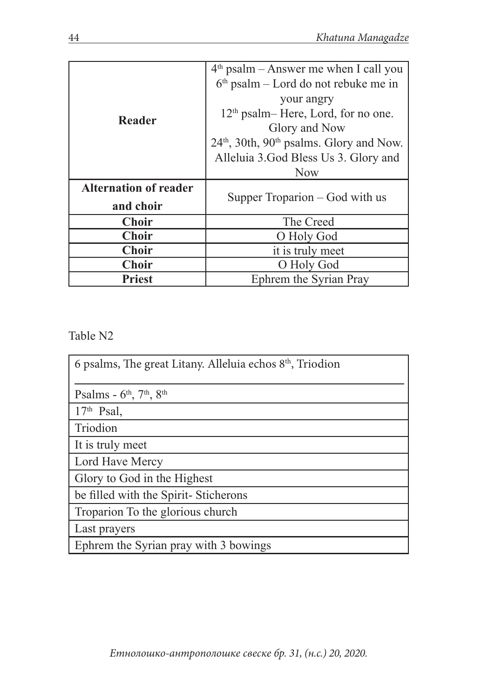| Reader                       | $4th$ psalm – Answer me when I call you                |  |
|------------------------------|--------------------------------------------------------|--|
|                              | $6th$ psalm – Lord do not rebuke me in                 |  |
|                              | your angry                                             |  |
|                              | $12th$ psalm– Here, Lord, for no one.                  |  |
|                              | Glory and Now                                          |  |
|                              | $24th$ , 30th, 90 <sup>th</sup> psalms. Glory and Now. |  |
|                              | Alleluia 3.God Bless Us 3. Glory and                   |  |
|                              | <b>Now</b>                                             |  |
| <b>Alternation of reader</b> |                                                        |  |
| and choir                    | Supper Troparion – God with us                         |  |
| <b>Choir</b>                 | The Creed                                              |  |
| <b>Choir</b>                 | O Holy God                                             |  |
| <b>Choir</b>                 | it is truly meet                                       |  |
| <b>Choir</b>                 | O Holy God                                             |  |
| Priest                       | Ephrem the Syrian Pray                                 |  |

Table N2

| 6 psalms, The great Litany. Alleluia echos 8 <sup>th</sup> , Triodion |
|-----------------------------------------------------------------------|
| Psalms - $6^{\text{th}}$ , $7^{\text{th}}$ , $8^{\text{th}}$          |
| $17th$ Psal,                                                          |
| Triodion                                                              |
| It is truly meet                                                      |
| Lord Have Mercy                                                       |
| Glory to God in the Highest                                           |
| be filled with the Spirit-Sticherons                                  |
| Troparion To the glorious church                                      |
| Last prayers                                                          |
| Ephrem the Syrian pray with 3 bowings                                 |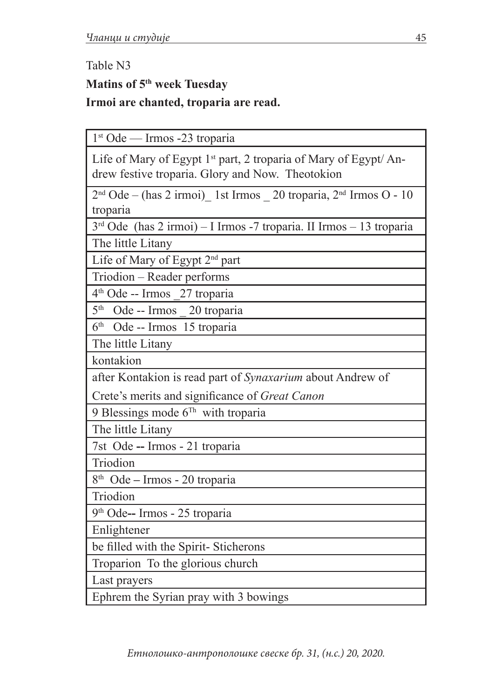# Table N3 **Matins of 5th week Tuesday Irmoi are chanted, troparia are read.**

1st Ode — Irmos -23 troparia

| Life of Mary of Egypt 1 <sup>st</sup> part, 2 troparia of Mary of Egypt/ An- |  |
|------------------------------------------------------------------------------|--|
| drew festive troparia. Glory and Now. Theotokion                             |  |

 $2<sup>nd</sup> Ode - (has 2 irmoi)$  1st Irmos  $20$  troparia,  $2<sup>nd</sup>$  Irmos O - 10 troparia

 $3<sup>rd</sup>$  Ode (has 2 irmoi) – I Irmos -7 troparia. II Irmos – 13 troparia

The little Litany

Life of Mary of Egypt 2nd part

Triodion – Reader performs

4th Ode -- Irmos \_27 troparia

5th Ode -- Irmos \_ 20 troparia

6th Ode -- Irmos 15 troparia

The little Litany

kontakion

after Kontakion is read part of *Synaxarium* about Andrew of

Crete's merits and significance of *Great Canon*

9 Blessings mode  $6<sup>Th</sup>$  with troparia

The little Litany

7st Ode **--** Irmos - 21 troparia

Triodion

8th Ode **–** Irmos - 20 troparia

Triodion

9th Ode**--** Irmos - 25 troparia

Enlightener

be filled with the Spirit- Sticherons

Troparion To the glorious church

Last prayers

Ephrem the Syrian pray with 3 bowings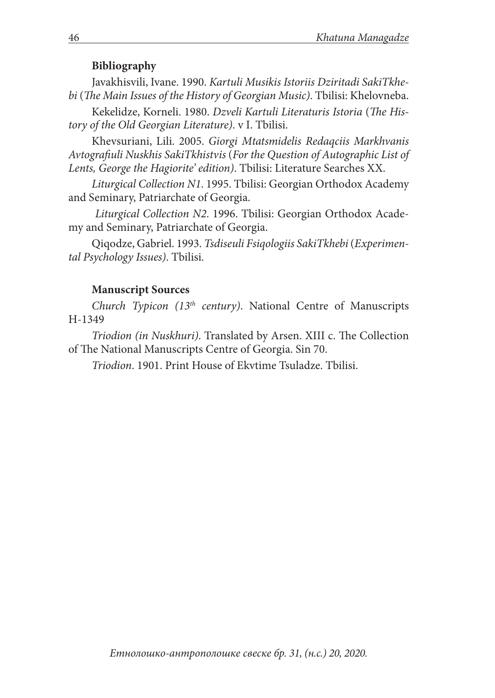#### **Bibliography**

Javakhisvili, Ivane. 1990. *Kartuli Musikis Istoriis Dziritadi SakiTkhebi* (*The Main Issues of the History of Georgian Music)*. Tbilisi: Khelovneba.

Kekelidze, Korneli. 1980. *Dzveli Kartuli Literaturis Istoria* (*The History of the Old Georgian Literature)*. v I. Tbilisi.

Khevsuriani, Lili. 2005. *Giorgi Mtatsmidelis Redaqciis Markhvanis Avtografiuli Nuskhis SakiTkhistvis* (*For the Question of Autographic List of Lents, George the Hagiorite' edition)*. Tbilisi: Literature Searches XX.

*Liturgical Collection N1*. 1995. Tbilisi: Georgian Orthodox Academy and Seminary, Patriarchate of Georgia.

*Liturgical Collection N2*. 1996. Tbilisi: Georgian Orthodox Academy and Seminary, Patriarchate of Georgia.

Qiqodze, Gabriel. 1993. *Tsdiseuli Fsiqologiis SakiTkhebi* (*Experimental Psychology Issues)*. Tbilisi.

#### **Manuscript Sources**

*Church Typicon (13th century)*. National Centre of Manuscripts H-1349

*Triodion (in Nuskhuri)*. Translated by Arsen. XIII c. The Collection of The National Manuscripts Centre of Georgia. Sin 70.

*Triodion*. 1901. Print House of Ekvtime Tsuladze. Tbilisi.